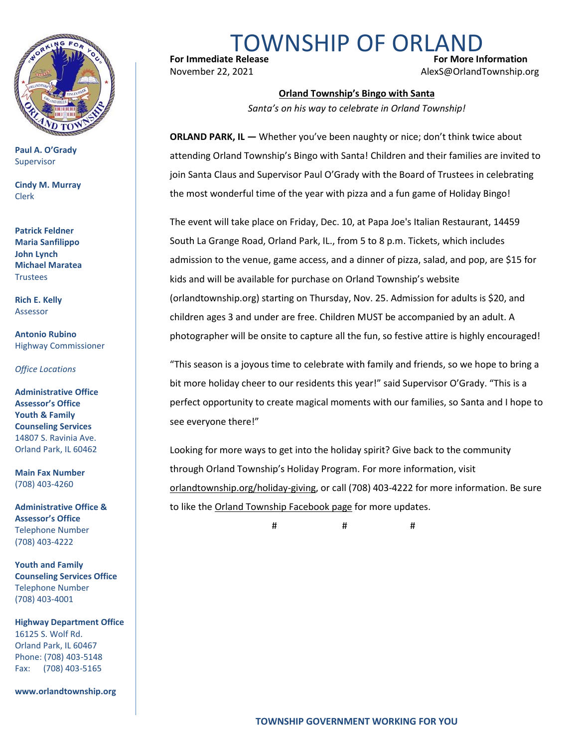

**Paul A. O'Grady** Supervisor

**Cindy M. Murray** Clerk

**Patrick Feldner Maria Sanfilippo John Lynch Michael Maratea Trustees** 

**Rich E. Kelly** Assessor

**Antonio Rubino** Highway Commissioner

*Office Locations*

**Administrative Office Assessor's Office Youth & Family Counseling Services** 14807 S. Ravinia Ave. Orland Park, IL 60462

**Main Fax Number**  (708) 403-4260

**Administrative Office & Assessor's Office**  Telephone Number (708) 403-4222

**Youth and Family Counseling Services Office**  Telephone Number (708) 403-4001

**Highway Department Office** 16125 S. Wolf Rd. Orland Park, IL 60467 Phone: (708) 403-5148 Fax: (708) 403-5165

**www.orlandtownship.org**

TOWNSHIP OF ORLANI

**For Immediate Release Structure Controllering Controllering Controllering For More Information** November 22, 2021 AlexS@OrlandTownship.org

## **Orland Township's Bingo with Santa**

*Santa's on his way to celebrate in Orland Township!*

**ORLAND PARK, IL — Whether you've been naughty or nice; don't think twice about** attending Orland Township's Bingo with Santa! Children and their families are invited to join Santa Claus and Supervisor Paul O'Grady with the Board of Trustees in celebrating the most wonderful time of the year with pizza and a fun game of Holiday Bingo!

The event will take place on Friday, Dec. 10, at Papa Joe's Italian Restaurant, 14459 South La Grange Road, Orland Park, IL., from 5 to 8 p.m. Tickets, which includes admission to the venue, game access, and a dinner of pizza, salad, and pop, are \$15 for kids and will be available for purchase on Orland Township's website (orlandtownship.org) starting on Thursday, Nov. 25. Admission for adults is \$20, and children ages 3 and under are free. Children MUST be accompanied by an adult. A photographer will be onsite to capture all the fun, so festive attire is highly encouraged!

"This season is a joyous time to celebrate with family and friends, so we hope to bring a bit more holiday cheer to our residents this year!" said Supervisor O'Grady. "This is a perfect opportunity to create magical moments with our families, so Santa and I hope to see everyone there!"

Looking for more ways to get into the holiday spirit? Give back to the community through Orland Township's Holiday Program. For more information, visit [orlandtownship.org/holiday-giving,](https://orlandtownship.org/holiday-giving/) or call (708) 403-4222 for more information. Be sure to like the [Orland Township Facebook page](https://www.facebook.com/OrlandTownshipIL/) for more updates.

# # #